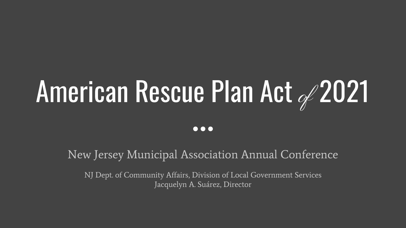# American Rescue Plan Act 2021

 $\bullet\bullet\bullet$ 

New Jersey Municipal Association Annual Conference

NJ Dept. of Community Affairs, Division of Local Government Services Jacquelyn A. Suárez, Director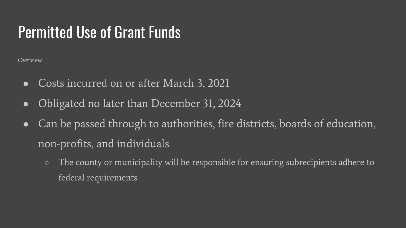## **Permitted Use of Grant Funds**

Overview

- Costs incurred on or after March 3, 2021  $\bullet$
- Obligated no later than December 31, 2024  $\bullet$
- Can be passed through to authorities, fire districts, boards of education,  $\bullet$ non-profits, and individuals
	- The county or municipality will be responsible for ensuring subrecipients adhere to federal requirements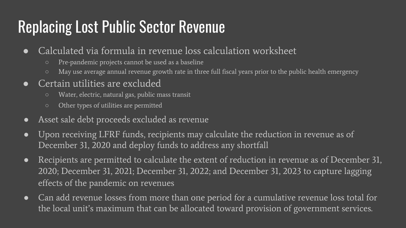## **Replacing Lost Public Sector Revenue**

- Calculated via formula in revenue loss calculation worksheet  $\bullet$ 
	- Pre-pandemic projects cannot be used as a baseline
	- May use average annual revenue growth rate in three full fiscal years prior to the public health emergency
- Certain utilities are excluded
	- Water, electric, natural gas, public mass transit
	- Other types of utilities are permitted
- Asset sale debt proceeds excluded as revenue  $\bullet$
- Upon receiving LFRF funds, recipients may calculate the reduction in revenue as of  $\bullet$ December 31, 2020 and deploy funds to address any shortfall
- Recipients are permitted to calculate the extent of reduction in revenue as of December 31,  $\bullet$ 2020; December 31, 2021; December 31, 2022; and December 31, 2023 to capture lagging effects of the pandemic on revenues
- Can add revenue losses from more than one period for a cumulative revenue loss total for  $\bullet$ the local unit's maximum that can be allocated toward provision of government services.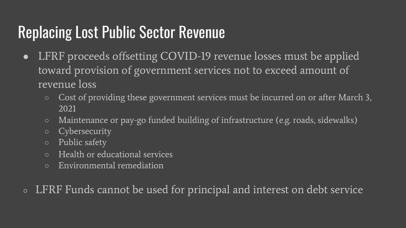# **Replacing Lost Public Sector Revenue**

- LFRF proceeds offsetting COVID-19 revenue losses must be applied  $\bullet$ toward provision of government services not to exceed amount of revenue loss
	- Cost of providing these government services must be incurred on or after March 3, 2021
	- Maintenance or pay-go funded building of infrastructure (e.g. roads, sidewalks)  $\circ$
	- Cybersecurity  $\circ$
	- Public safety  $\circ$
	- Health or educational services
	- Environmental remediation  $\bigcirc$
- LFRF Funds cannot be used for principal and interest on debt service  $\bigcirc$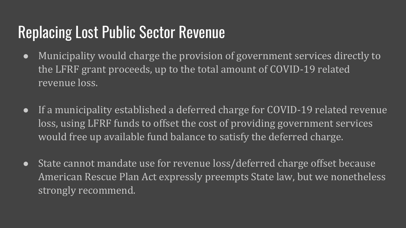## Replacing Lost Public Sector Revenue

- Municipality would charge the provision of government services directly to the LFRF grant proceeds, up to the total amount of COVID-19 related revenue loss.
- If a municipality established a deferred charge for COVID-19 related revenue loss, using LFRF funds to offset the cost of providing government services would free up available fund balance to satisfy the deferred charge.
- State cannot mandate use for revenue loss/deferred charge offset because American Rescue Plan Act expressly preempts State law, but we nonetheless strongly recommend.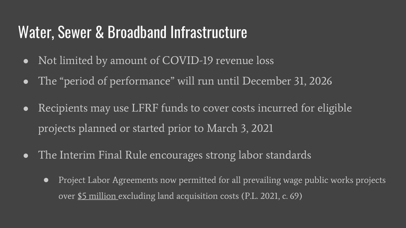#### Water, Sewer & Broadband Infrastructure

- Not limited by amount of COVID-19 revenue loss  $\bullet$
- The "period of performance" will run until December 31, 2026  $\bullet$
- Recipients may use LFRF funds to cover costs incurred for eligible  $\bullet$ projects planned or started prior to March 3, 2021
- The Interim Final Rule encourages strong labor standards  $\bullet$ 
	- Project Labor Agreements now permitted for all prevailing wage public works projects  $\bullet$ over \$5 million excluding land acquisition costs (P.L. 2021, c. 69)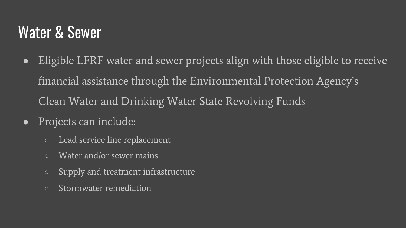#### **Water & Sewer**

- Eligible LFRF water and sewer projects align with those eligible to receive  $\bullet$ financial assistance through the Environmental Protection Agency's Clean Water and Drinking Water State Revolving Funds
- Projects can include:  $\bullet$ 
	- Lead service line replacement  $\circ$
	- Water and/or sewer mains  $\circ$
	- Supply and treatment infrastructure  $\circ$
	- Stormwater remediation  $\circ$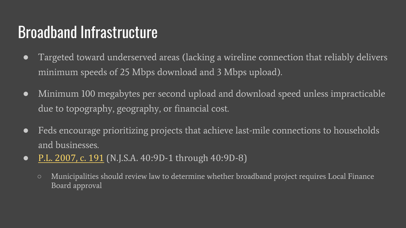#### **Broadband Infrastructure**

- Targeted toward underserved areas (lacking a wireline connection that reliab  $\bullet$ minimum speeds of 25 Mbps download and 3 Mbps upload).
- Minimum 100 megabytes per second upload and download speed unless imp  $\bullet$ due to topography, geography, or financial cost.
- Feds encourage prioritizing projects that achieve last-mile connections to hot  $\bullet$ and businesses.
- P.L. 2007, c. 191 (N.J.S.A. 40:9D-1 through 40:9D-8)  $\bullet$ 
	- Municipalities should review law to determine whether broadband project requires Local  $\circ$ Board approval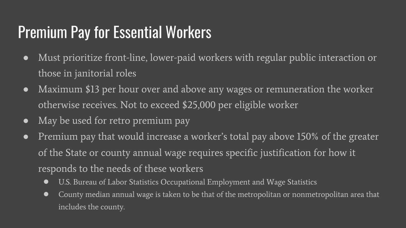## **Premium Pay for Essential Workers**

- Must prioritize front-line, lower-paid workers with regular public interaction or  $\bullet$ those in janitorial roles
- Maximum \$13 per hour over and above any wages or remuneration the worker  $\bullet$ otherwise receives. Not to exceed \$25,000 per eligible worker
- May be used for retro premium pay  $\bullet$
- Premium pay that would increase a worker's total pay above 150% of the greater  $\bullet$ of the State or county annual wage requires specific justification for how it responds to the needs of these workers
	- U.S. Bureau of Labor Statistics Occupational Employment and Wage Statistics  $\bullet$
	- County median annual wage is taken to be that of the metropolitan or nonmetropolitan area that  $\bullet$ includes the county.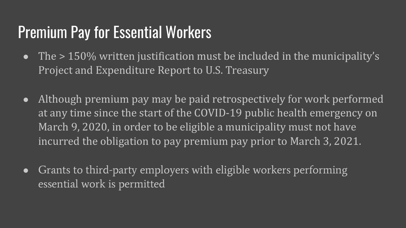## Premium Pay for Essential Workers

- The  $>150\%$  written justification must be included in the municipality's Project and Expenditure Report to U.S. Treasury
- Although premium pay may be paid retrospectively for work performed at any time since the start of the COVID-19 public health emergency on March 9, 2020, in order to be eligible a municipality must not have incurred the obligation to pay premium pay prior to March 3, 2021.
- Grants to third-party employers with eligible workers performing essential work is permitted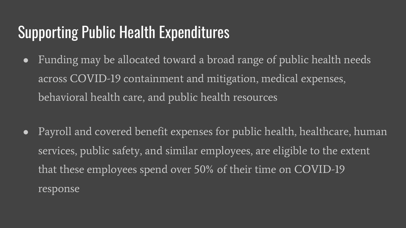## **Supporting Public Health Expenditures**

- Funding may be allocated toward a broad range of public health needs  $\bullet$ across COVID-19 containment and mitigation, medical expenses, behavioral health care, and public health resources
- Payroll and covered benefit expenses for public health, healthcare, human  $\bullet$ services, public safety, and similar employees, are eligible to the extent that these employees spend over 50% of their time on COVID-19 response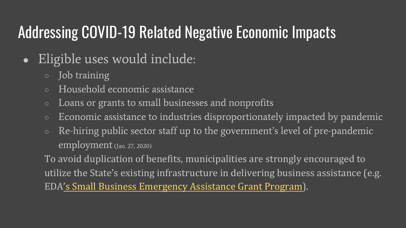# **Addressing COVID-19 Related Negative Economic Impacts**

- Eligible uses would include:  $\bullet$ 
	- Job training  $\circ$
	- Household economic assistance
	- Loans or grants to small businesses and nonprofits
	- Economic assistance to industries disproportionately impacted by p  $\circ$
	- Re-hiring public sector staff up to the government's level of pre-par employment (Jan. 27, 2020)

To avoid duplication of benefits, municipalities are strongly encourage utilize the State's existing infrastructure in delivering business assista EDA's Small Business Emergency Assistance Grant Program).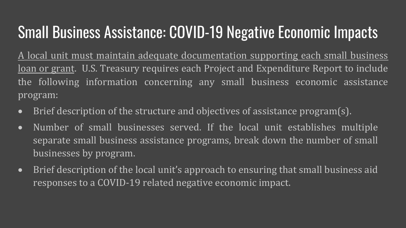# Small Business Assistance: COVID-19 Negative Economic Impacts

A local unit must maintain adequate documentation supporting each small business loan or grant. U.S. Treasury requires each Project and Expenditure Report to include the following information concerning any small business economic assistance program:

- Brief description of the structure and objectives of assistance program(s).
- Number of small businesses served. If the local unit establishes multiple separate small business assistance programs, break down the number of small businesses by program.
- Brief description of the local unit's approach to ensuring that small business aid responses to a COVID-19 related negative economic impact.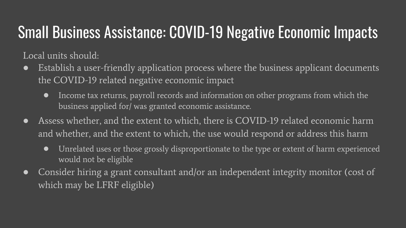# **Small Business Assistance: COVID-19 Negative Economic Impacts**

Local units should:

- Establish a user-friendly application process where the business applicant documents  $\bullet$ the COVID-19 related negative economic impact
	- Income tax returns, payroll records and information on other programs from which the  $\bullet$ business applied for/ was granted economic assistance.
- Assess whether, and the extent to which, there is COVID-19 related economic harm  $\bullet$ and whether, and the extent to which, the use would respond or address this harm
	- Unrelated uses or those grossly disproportionate to the type or extent of harm experienced  $\bullet$ would not be eligible
- Consider hiring a grant consultant and/or an independent integrity monitor (cost of  $\bullet$ which may be LFRF eligible)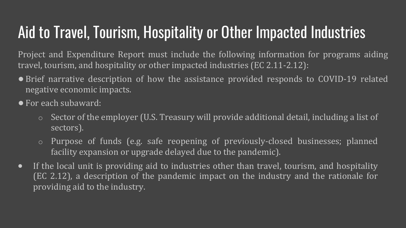# Aid to Travel, Tourism, Hospitality or Other Impacted Industries

Project and Expenditure Report must include the following information for programs aiding travel, tourism, and hospitality or other impacted industries (EC 2.11-2.12):

- Brief narrative description of how the assistance provided responds to COVID-19 related negative economic impacts.
- For each subaward:
	- o Sector of the employer (U.S. Treasury will provide additional detail, including a list of sectors).
	- o Purpose of funds (e.g. safe reopening of previously-closed businesses; planned facility expansion or upgrade delayed due to the pandemic).
- If the local unit is providing aid to industries other than travel, tourism, and hospitality (EC 2.12), a description of the pandemic impact on the industry and the rationale for providing aid to the industry.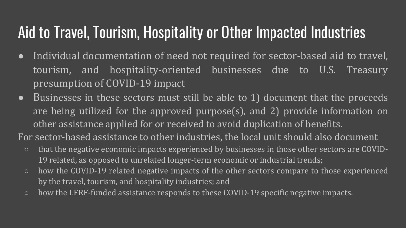## Aid to Travel, Tourism, Hospitality or Other Impacted Industries

- Individual documentation of need not required for sector-based aid to travel, tourism, and hospitality-oriented businesses due to U.S. Treasury presumption of COVID-19 impact
- $\bullet$  Businesses in these sectors must still be able to 1) document that the proceeds are being utilized for the approved purpose(s), and 2) provide information on other assistance applied for or received to avoid duplication of benefits.

For sector-based assistance to other industries, the local unit should also document

- that the negative economic impacts experienced by businesses in those other sectors are COVID-19 related, as opposed to unrelated longer-term economic or industrial trends;
- how the COVID-19 related negative impacts of the other sectors compare to those experienced by the travel, tourism, and hospitality industries; and
- how the LFRF-funded assistance responds to these COVID-19 specific negative impacts.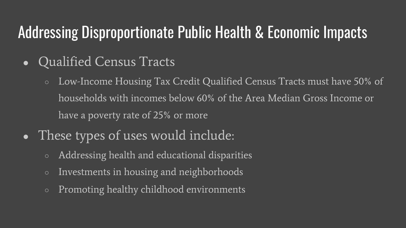# **Addressing Disproportionate Public Health & Economic Impacts**

- **Qualified Census Tracts**  $\bullet$ 
	- Low-Income Housing Tax Credit Qualified Census Tracts must have 50% of households with incomes below 60% of the Area Median Gross Income or have a poverty rate of 25% or more
- These types of uses would include: O
	- Addressing health and educational disparities
	- Investments in housing and neighborhoods
	- Promoting healthy childhood environments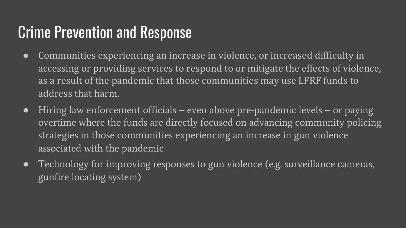# **Crime Prevention and Response**

- Communities experiencing an increase in violence, or increased difficulty in  $\bullet$ accessing or providing services to respond to or mitigate the effects of violence, as a result of the pandemic that those communities may use LFRF funds to address that harm.
- Hiring law enforcement officials even above pre-pandemic levels or paying  $\bullet$ overtime where the funds are directly focused on advancing community policing strategies in those communities experiencing an increase in gun violence associated with the pandemic
- Technology for improving responses to gun violence (e.g. surveillance cameras,  $\bullet$ gunfire locating system)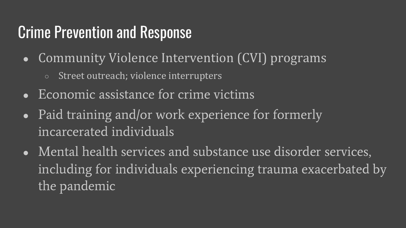## **Crime Prevention and Response**

- Community Violence Intervention (CVI) programs
	- Street outreach; violence interrupters  $\circ$
- Economic assistance for crime victims
- Paid training and/or work experience for formerly incarcerated individuals
- Mental health services and substance use disorder services, including for individuals experiencing trauma exacerbated by the pandemic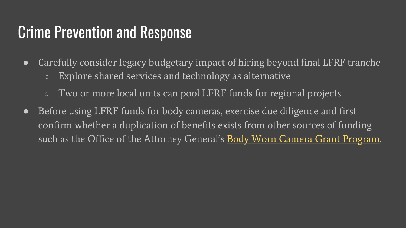#### **Crime Prevention and Response**

- Carefully consider legacy budgetary impact of hiring beyond final LFRF  $\bullet$ 
	- Explore shared services and technology as alternative
	- Two or more local units can pool LFRF funds for regional projects.  $\circ$
- Before using LFRF funds for body cameras, exercise due diligence and fi  $\bullet$ confirm whether a duplication of benefits exists from other sources of fu such as the Office of the Attorney General's Body Worn Camera Grant I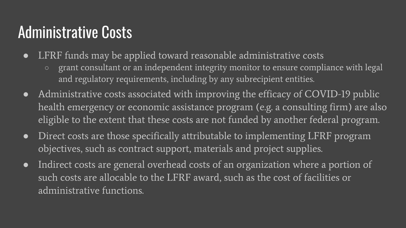#### **Administrative Costs**

- LFRF funds may be applied toward reasonable administrative costs  $\bullet$ 
	- grant consultant or an independent integrity monitor to ensure compliance with legal  $\circ$ and regulatory requirements, including by any subrecipient entities.
- Administrative costs associated with improving the efficacy of COVID-19 public health emergency or economic assistance program (e.g. a consulting firm) are also eligible to the extent that these costs are not funded by another federal program.
- Direct costs are those specifically attributable to implementing LFRF program  $\bullet$ objectives, such as contract support, materials and project supplies.
- Indirect costs are general overhead costs of an organization where a portion of  $\bullet$ such costs are allocable to the LFRF award, such as the cost of facilities or administrative functions.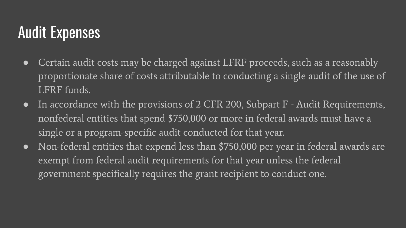## **Audit Expenses**

- Certain audit costs may be charged against LFRF proceeds, such as a reasonably  $\bullet$ proportionate share of costs attributable to conducting a single audit of the use of LFRF funds.
- In accordance with the provisions of 2 CFR 200, Subpart  $F$  Audit Requirements,  $\bullet$ nonfederal entities that spend \$750,000 or more in federal awards must have a single or a program-specific audit conducted for that year.
- Non-federal entities that expend less than \$750,000 per year in federal awards are  $\bullet$ exempt from federal audit requirements for that year unless the federal government specifically requires the grant recipient to conduct one.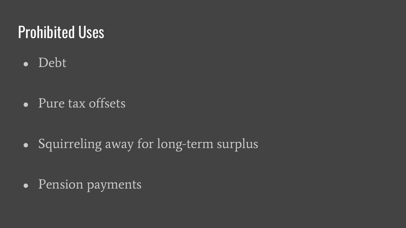#### **Prohibited Uses**

• Debt

• Pure tax offsets

• Squirreling away for long-term surplus

• Pension payments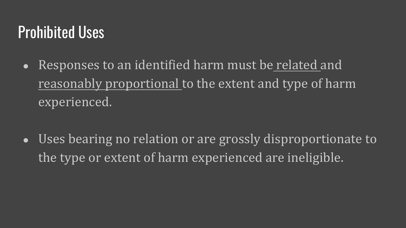#### Prohibited Uses

- Responses to an identified harm must be related and reasonably proportional to the extent and type of harm experienced.
- Uses bearing no relation or are grossly disproportionate to the type or extent of harm experienced are ineligible.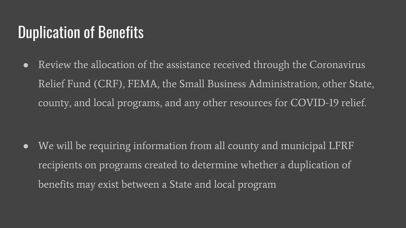#### **Duplication of Benefits**

Review the allocation of the assistance received through the Coronavirus  $\bullet$ Relief Fund (CRF), FEMA, the Small Business Administration, other State, county, and local programs, and any other resources for COVID-19 relief.

We will be requiring information from all county and municipal LFRF  $\bullet$ recipients on programs created to determine whether a duplication of benefits may exist between a State and local program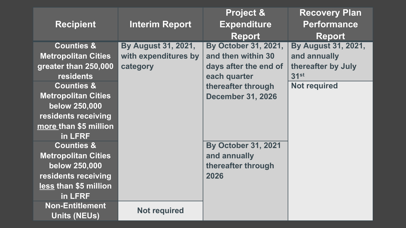| <b>Recipient</b>                                                                                                                | <b>Interim Report</b>                                   | <b>Project &amp;</b><br><b>Expenditure</b><br><b>Report</b>                                               | <b>Recovery Plan</b><br><b>Performance</b><br><b>Report</b>                                     |
|---------------------------------------------------------------------------------------------------------------------------------|---------------------------------------------------------|-----------------------------------------------------------------------------------------------------------|-------------------------------------------------------------------------------------------------|
| <b>Counties &amp;</b><br><b>Metropolitan Cities</b><br>greater than 250,000<br><b>residents</b><br><b>Counties &amp;</b>        | By August 31, 2021,<br>with expenditures by<br>category | By October 31, 2021,<br>and then within 30<br>days after the end of<br>each quarter<br>thereafter through | <b>By August 31, 2021,</b><br>and annually<br>thereafter by July<br>31st<br><b>Not required</b> |
| <b>Metropolitan Cities</b><br>below 250,000<br>residents receiving<br>more than \$5 million<br>in LFRF                          |                                                         | <b>December 31, 2026</b>                                                                                  |                                                                                                 |
| <b>Counties &amp;</b><br><b>Metropolitan Cities</b><br>below 250,000<br>residents receiving<br>less than \$5 million<br>in LFRF |                                                         | <b>By October 31, 2021</b><br>and annually<br>thereafter through<br>2026                                  |                                                                                                 |
| <b>Non-Entitlement</b><br><b>Units (NEUs)</b>                                                                                   | <b>Not required</b>                                     |                                                                                                           |                                                                                                 |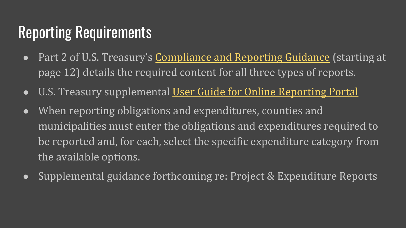#### Reporting Requirements

- Part 2 of U.S. Treasury's Compliance and Reporting Guidance (st page 12) details the required content for all three types of repor
- U.S. Treasury supplemental User Guide for Online Reporting Por
- When reporting obligations and expenditures, counties and municipalities must enter the obligations and expenditures required be reported and, for each, select the specific expenditure categor the available options.
- Supplemental guidance forthcoming re: Project & Expenditure R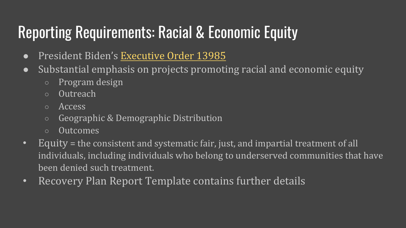## Reporting Requirements: Racial & Economic Equity

- · President Biden's Executive Order 13985
- Substantial emphasis on projects promoting racial and economic eq
	- Program design
	- Outreach
	- Access
	- Geographic & Demographic Distribution
	- Outcomes
- Equity = the consistent and systematic fair, just, and impartial treatment of individuals, including individuals who belong to underserved communities been denied such treatment.
- Recovery Plan Report Template contains further details